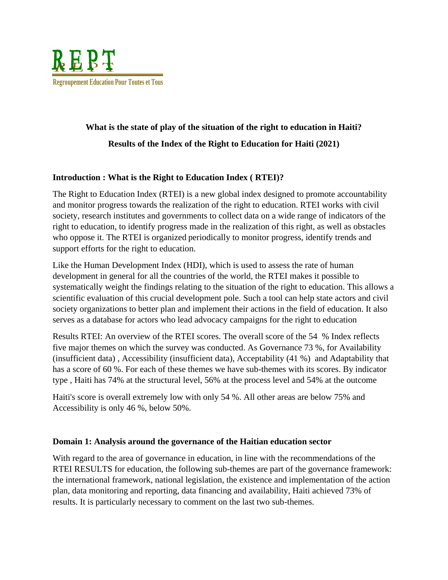

# **What is the state of play of the situation of the right to education in Haiti? Results of the Index of the Right to Education for Haiti (2021)**

## **Introduction : What is the Right to Education Index ( RTEI)?**

The Right to Education Index (RTEI) is a new global index designed to promote accountability and monitor progress towards the realization of the right to education. RTEI works with civil society, research institutes and governments to collect data on a wide range of indicators of the right to education, to identify progress made in the realization of this right, as well as obstacles who oppose it. The RTEI is organized periodically to monitor progress, identify trends and support efforts for the right to education.

Like the Human Development Index (HDI), which is used to assess the rate of human development in general for all the countries of the world, the RTEI makes it possible to systematically weight the findings relating to the situation of the right to education. This allows a scientific evaluation of this crucial development pole. Such a tool can help state actors and civil society organizations to better plan and implement their actions in the field of education. It also serves as a database for actors who lead advocacy campaigns for the right to education

Results RTEI: An overview of the RTEI scores. The overall score of the 54 % Index reflects five major themes on which the survey was conducted. As Governance 73 %, for Availability (insufficient data) , Accessibility (insufficient data), Acceptability (41 %) and Adaptability that has a score of 60 %. For each of these themes we have sub-themes with its scores. By indicator type , Haiti has 74% at the structural level, 56% at the process level and 54% at the outcome

Haiti's score is overall extremely low with only 54 %. All other areas are below 75% and Accessibility is only 46 %, below 50%.

#### **Domain 1: Analysis around the governance of the Haitian education sector**

With regard to the area of governance in education, in line with the recommendations of the RTEI RESULTS for education, the following sub-themes are part of the governance framework: the international framework, national legislation, the existence and implementation of the action plan, data monitoring and reporting, data financing and availability, Haiti achieved 73% of results. It is particularly necessary to comment on the last two sub-themes.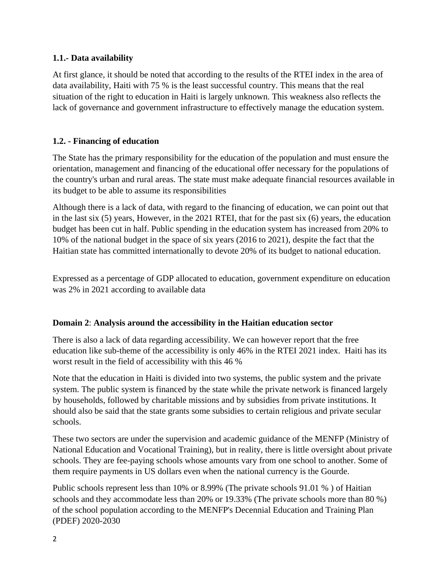### **1.1.- Data availability**

At first glance, it should be noted that according to the results of the RTEI index in the area of data availability, Haiti with 75 % is the least successful country. This means that the real situation of the right to education in Haiti is largely unknown. This weakness also reflects the lack of governance and government infrastructure to effectively manage the education system.

## **1.2. - Financing of education**

The State has the primary responsibility for the education of the population and must ensure the orientation, management and financing of the educational offer necessary for the populations of the country's urban and rural areas. The state must make adequate financial resources available in its budget to be able to assume its responsibilities

Although there is a lack of data, with regard to the financing of education, we can point out that in the last six (5) years, However, in the 2021 RTEI, that for the past six (6) years, the education budget has been cut in half. Public spending in the education system has increased from 20% to 10% of the national budget in the space of six years (2016 to 2021), despite the fact that the Haitian state has committed internationally to devote 20% of its budget to national education.

Expressed as a percentage of GDP allocated to education, government expenditure on education was 2% in 2021 according to available data

#### **Domain 2**: **Analysis around the accessibility in the Haitian education sector**

There is also a lack of data regarding accessibility. We can however report that the free education like sub-theme of the accessibility is only 46% in the RTEI 2021 index. Haiti has its worst result in the field of accessibility with this 46 %

Note that the education in Haiti is divided into two systems, the public system and the private system. The public system is financed by the state while the private network is financed largely by households, followed by charitable missions and by subsidies from private institutions. It should also be said that the state grants some subsidies to certain religious and private secular schools.

These two sectors are under the supervision and academic guidance of the MENFP (Ministry of National Education and Vocational Training), but in reality, there is little oversight about private schools. They are fee-paying schools whose amounts vary from one school to another. Some of them require payments in US dollars even when the national currency is the Gourde.

Public schools represent less than 10% or 8.99% (The private schools 91.01 % ) of Haitian schools and they accommodate less than 20% or 19.33% (The private schools more than 80 %) of the school population according to the MENFP's Decennial Education and Training Plan (PDEF) 2020-2030